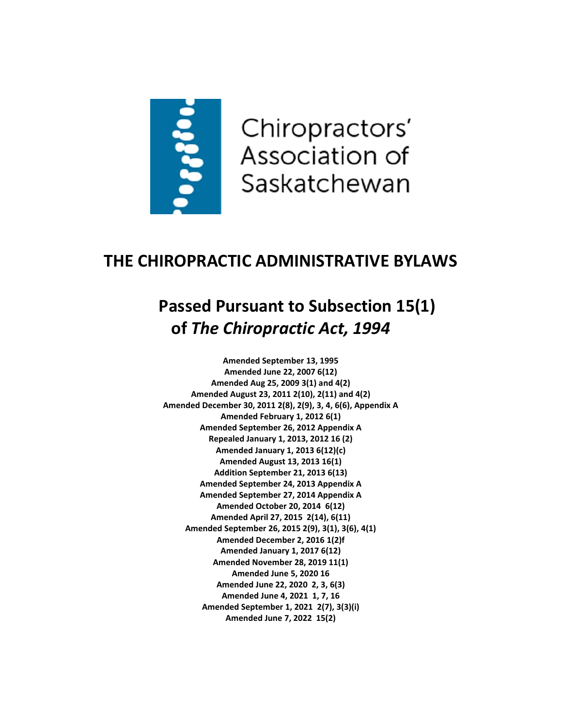

## **THE CHIROPRACTIC ADMINISTRATIVE BYLAWS**

# **Passed Pursuant to Subsection 15(1) of** *The Chiropractic Act, 1994*

**Amended September 13, 1995 Amended June 22, 2007 6(12) Amended Aug 25, 2009 3(1) and 4(2) Amended August 23, 2011 2(10), 2(11) and 4(2) Amended December 30, 2011 2(8), 2(9), 3, 4, 6(6), Appendix A Amended February 1, 2012 6(1) Amended September 26, 2012 Appendix A Repealed January 1, 2013, 2012 16 (2) Amended January 1, 2013 6(12)(c) Amended August 13, 2013 16(1) Addition September 21, 2013 6(13) Amended September 24, 2013 Appendix A Amended September 27, 2014 Appendix A Amended October 20, 2014 6(12) Amended April 27, 2015 2(14), 6(11) Amended September 26, 2015 2(9), 3(1), 3(6), 4(1) Amended December 2, 2016 1(2)f Amended January 1, 2017 6(12) Amended November 28, 2019 11(1) Amended June 5, 2020 16 Amended June 22, 2020 2, 3, 6(3) Amended June 4, 2021 1, 7, 16 Amended September 1, 2021 2(7), 3(3)(i) Amended June 7, 2022 15(2)**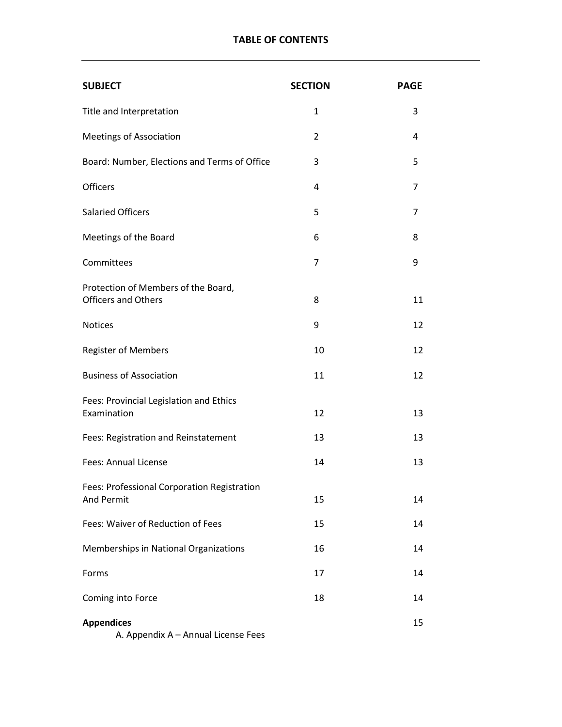## **TABLE OF CONTENTS**

| <b>SUBJECT</b>                                                    | <b>SECTION</b> | <b>PAGE</b> |
|-------------------------------------------------------------------|----------------|-------------|
| Title and Interpretation                                          | $\mathbf{1}$   | 3           |
| <b>Meetings of Association</b>                                    | $\overline{2}$ | 4           |
| Board: Number, Elections and Terms of Office                      | 3              | 5           |
| <b>Officers</b>                                                   | 4              | 7           |
| <b>Salaried Officers</b>                                          | 5              | 7           |
| Meetings of the Board                                             | 6              | 8           |
| Committees                                                        | 7              | 9           |
| Protection of Members of the Board,<br><b>Officers and Others</b> | 8              | 11          |
| <b>Notices</b>                                                    | 9              | 12          |
| <b>Register of Members</b>                                        | 10             | 12          |
| <b>Business of Association</b>                                    | 11             | 12          |
| Fees: Provincial Legislation and Ethics<br>Examination            | 12             | 13          |
| Fees: Registration and Reinstatement                              | 13             | 13          |
| Fees: Annual License                                              | 14             | 13          |
| Fees: Professional Corporation Registration<br><b>And Permit</b>  | 15             | 14          |
| Fees: Waiver of Reduction of Fees                                 | 15             | 14          |
| Memberships in National Organizations                             | 16             | 14          |
| Forms                                                             | 17             | 14          |
| Coming into Force                                                 | 18             | 14          |
| <b>Appendices</b><br>A. Appendix A - Annual License Fees          |                | 15          |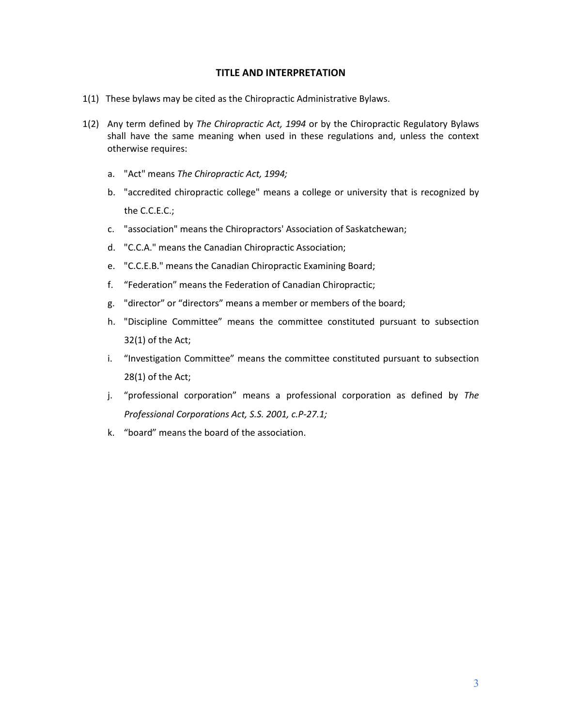## **TITLE AND INTERPRETATION**

- 1(1) These bylaws may be cited as the Chiropractic Administrative Bylaws.
- 1(2) Any term defined by *The Chiropractic Act, 1994* or by the Chiropractic Regulatory Bylaws shall have the same meaning when used in these regulations and, unless the context otherwise requires:
	- a. "Act" means *The Chiropractic Act, 1994;*
	- b. "accredited chiropractic college" means a college or university that is recognized by the C.C.E.C.;
	- c. "association" means the Chiropractors' Association of Saskatchewan;
	- d. "C.C.A." means the Canadian Chiropractic Association;
	- e. "C.C.E.B." means the Canadian Chiropractic Examining Board;
	- f. "Federation" means the Federation of Canadian Chiropractic;
	- g. "director" or "directors" means a member or members of the board;
	- h. "Discipline Committee" means the committee constituted pursuant to subsection 32(1) of the Act;
	- i. "Investigation Committee" means the committee constituted pursuant to subsection 28(1) of the Act;
	- j. "professional corporation" means a professional corporation as defined by *The Professional Corporations Act, S.S. 2001, c.P-27.1;*
	- k. "board" means the board of the association.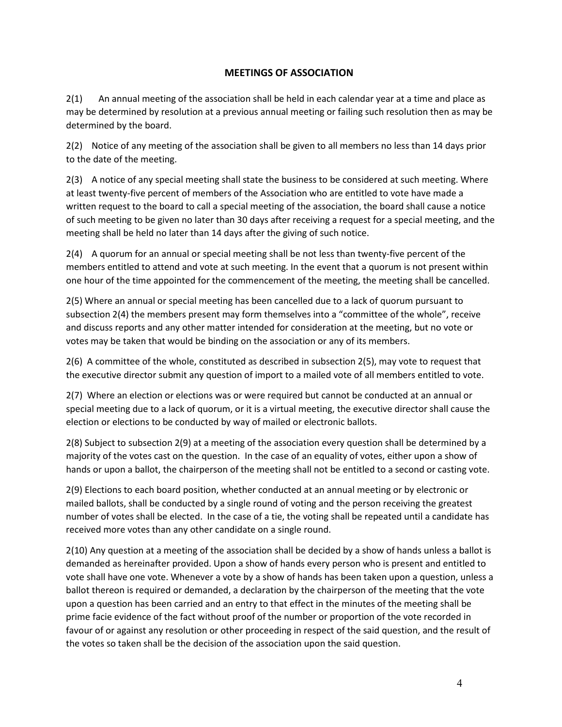## **MEETINGS OF ASSOCIATION**

2(1) An annual meeting of the association shall be held in each calendar year at a time and place as may be determined by resolution at a previous annual meeting or failing such resolution then as may be determined by the board.

2(2) Notice of any meeting of the association shall be given to all members no less than 14 days prior to the date of the meeting.

2(3) A notice of any special meeting shall state the business to be considered at such meeting. Where at least twenty-five percent of members of the Association who are entitled to vote have made a written request to the board to call a special meeting of the association, the board shall cause a notice of such meeting to be given no later than 30 days after receiving a request for a special meeting, and the meeting shall be held no later than 14 days after the giving of such notice.

2(4) A quorum for an annual or special meeting shall be not less than twenty-five percent of the members entitled to attend and vote at such meeting. In the event that a quorum is not present within one hour of the time appointed for the commencement of the meeting, the meeting shall be cancelled.

2(5) Where an annual or special meeting has been cancelled due to a lack of quorum pursuant to subsection 2(4) the members present may form themselves into a "committee of the whole", receive and discuss reports and any other matter intended for consideration at the meeting, but no vote or votes may be taken that would be binding on the association or any of its members.

2(6) A committee of the whole, constituted as described in subsection 2(5), may vote to request that the executive director submit any question of import to a mailed vote of all members entitled to vote.

2(7) Where an election or elections was or were required but cannot be conducted at an annual or special meeting due to a lack of quorum, or it is a virtual meeting, the executive director shall cause the election or elections to be conducted by way of mailed or electronic ballots.

2(8) Subject to subsection 2(9) at a meeting of the association every question shall be determined by a majority of the votes cast on the question. In the case of an equality of votes, either upon a show of hands or upon a ballot, the chairperson of the meeting shall not be entitled to a second or casting vote.

2(9) Elections to each board position, whether conducted at an annual meeting or by electronic or mailed ballots, shall be conducted by a single round of voting and the person receiving the greatest number of votes shall be elected. In the case of a tie, the voting shall be repeated until a candidate has received more votes than any other candidate on a single round.

2(10) Any question at a meeting of the association shall be decided by a show of hands unless a ballot is demanded as hereinafter provided. Upon a show of hands every person who is present and entitled to vote shall have one vote. Whenever a vote by a show of hands has been taken upon a question, unless a ballot thereon is required or demanded, a declaration by the chairperson of the meeting that the vote upon a question has been carried and an entry to that effect in the minutes of the meeting shall be prime facie evidence of the fact without proof of the number or proportion of the vote recorded in favour of or against any resolution or other proceeding in respect of the said question, and the result of the votes so taken shall be the decision of the association upon the said question.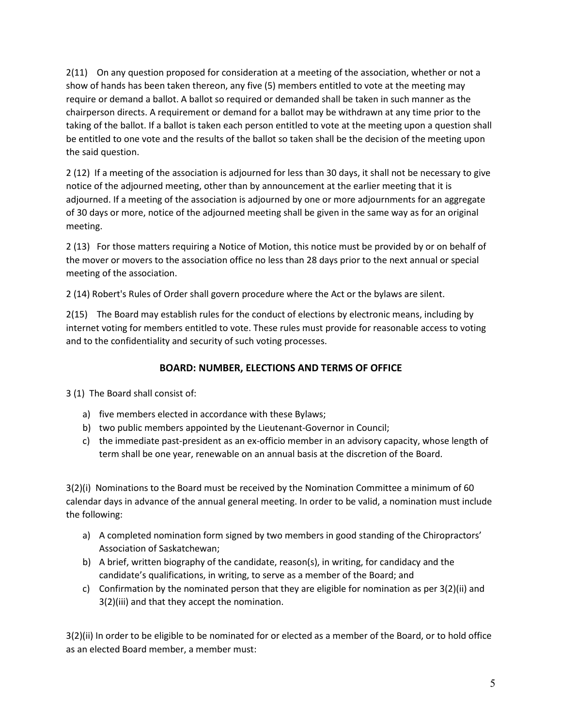2(11) On any question proposed for consideration at a meeting of the association, whether or not a show of hands has been taken thereon, any five (5) members entitled to vote at the meeting may require or demand a ballot. A ballot so required or demanded shall be taken in such manner as the chairperson directs. A requirement or demand for a ballot may be withdrawn at any time prior to the taking of the ballot. If a ballot is taken each person entitled to vote at the meeting upon a question shall be entitled to one vote and the results of the ballot so taken shall be the decision of the meeting upon the said question.

2 (12) If a meeting of the association is adjourned for less than 30 days, it shall not be necessary to give notice of the adjourned meeting, other than by announcement at the earlier meeting that it is adjourned. If a meeting of the association is adjourned by one or more adjournments for an aggregate of 30 days or more, notice of the adjourned meeting shall be given in the same way as for an original meeting.

2 (13) For those matters requiring a Notice of Motion, this notice must be provided by or on behalf of the mover or movers to the association office no less than 28 days prior to the next annual or special meeting of the association.

2 (14) Robert's Rules of Order shall govern procedure where the Act or the bylaws are silent.

2(15) The Board may establish rules for the conduct of elections by electronic means, including by internet voting for members entitled to vote. These rules must provide for reasonable access to voting and to the confidentiality and security of such voting processes.

## **BOARD: NUMBER, ELECTIONS AND TERMS OF OFFICE**

3 (1) The Board shall consist of:

- a) five members elected in accordance with these Bylaws;
- b) two public members appointed by the Lieutenant-Governor in Council;
- c) the immediate past-president as an ex-officio member in an advisory capacity, whose length of term shall be one year, renewable on an annual basis at the discretion of the Board.

3(2)(i) Nominations to the Board must be received by the Nomination Committee a minimum of 60 calendar days in advance of the annual general meeting. In order to be valid, a nomination must include the following:

- a) A completed nomination form signed by two members in good standing of the Chiropractors' Association of Saskatchewan;
- b) A brief, written biography of the candidate, reason(s), in writing, for candidacy and the candidate's qualifications, in writing, to serve as a member of the Board; and
- c) Confirmation by the nominated person that they are eligible for nomination as per 3(2)(ii) and 3(2)(iii) and that they accept the nomination.

3(2)(ii) In order to be eligible to be nominated for or elected as a member of the Board, or to hold office as an elected Board member, a member must: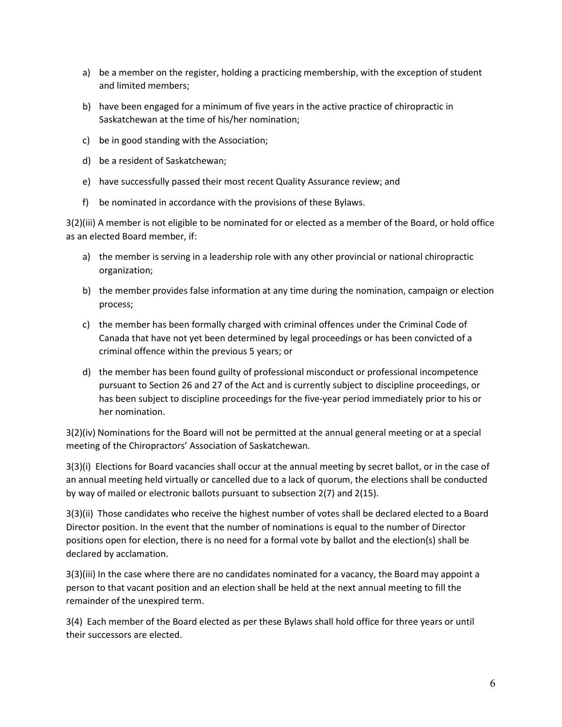- a) be a member on the register, holding a practicing membership, with the exception of student and limited members;
- b) have been engaged for a minimum of five years in the active practice of chiropractic in Saskatchewan at the time of his/her nomination;
- c) be in good standing with the Association;
- d) be a resident of Saskatchewan;
- e) have successfully passed their most recent Quality Assurance review; and
- f) be nominated in accordance with the provisions of these Bylaws.

3(2)(iii) A member is not eligible to be nominated for or elected as a member of the Board, or hold office as an elected Board member, if:

- a) the member is serving in a leadership role with any other provincial or national chiropractic organization;
- b) the member provides false information at any time during the nomination, campaign or election process;
- c) the member has been formally charged with criminal offences under the Criminal Code of Canada that have not yet been determined by legal proceedings or has been convicted of a criminal offence within the previous 5 years; or
- d) the member has been found guilty of professional misconduct or professional incompetence pursuant to Section 26 and 27 of the Act and is currently subject to discipline proceedings, or has been subject to discipline proceedings for the five-year period immediately prior to his or her nomination.

3(2)(iv) Nominations for the Board will not be permitted at the annual general meeting or at a special meeting of the Chiropractors' Association of Saskatchewan.

3(3)(i) Elections for Board vacancies shall occur at the annual meeting by secret ballot, or in the case of an annual meeting held virtually or cancelled due to a lack of quorum, the elections shall be conducted by way of mailed or electronic ballots pursuant to subsection 2(7) and 2(15).

3(3)(ii) Those candidates who receive the highest number of votes shall be declared elected to a Board Director position. In the event that the number of nominations is equal to the number of Director positions open for election, there is no need for a formal vote by ballot and the election(s) shall be declared by acclamation.

3(3)(iii) In the case where there are no candidates nominated for a vacancy, the Board may appoint a person to that vacant position and an election shall be held at the next annual meeting to fill the remainder of the unexpired term.

3(4) Each member of the Board elected as per these Bylaws shall hold office for three years or until their successors are elected.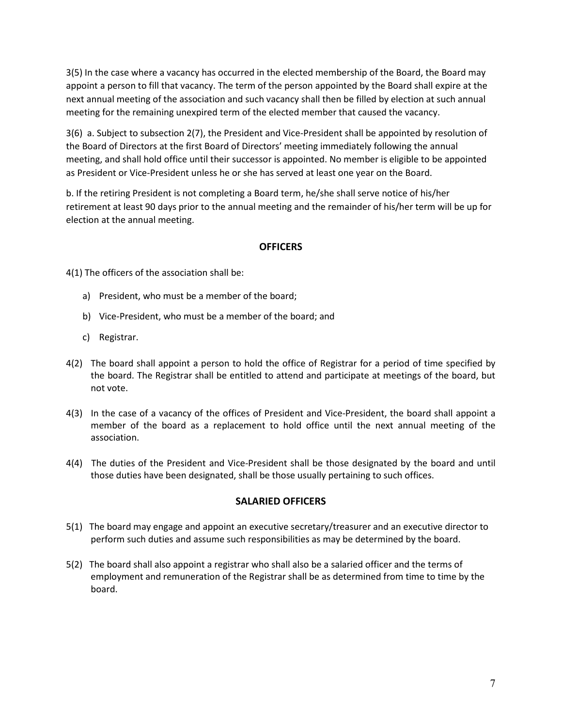3(5) In the case where a vacancy has occurred in the elected membership of the Board, the Board may appoint a person to fill that vacancy. The term of the person appointed by the Board shall expire at the next annual meeting of the association and such vacancy shall then be filled by election at such annual meeting for the remaining unexpired term of the elected member that caused the vacancy.

3(6) a. Subject to subsection 2(7), the President and Vice-President shall be appointed by resolution of the Board of Directors at the first Board of Directors' meeting immediately following the annual meeting, and shall hold office until their successor is appointed. No member is eligible to be appointed as President or Vice-President unless he or she has served at least one year on the Board.

b. If the retiring President is not completing a Board term, he/she shall serve notice of his/her retirement at least 90 days prior to the annual meeting and the remainder of his/her term will be up for election at the annual meeting.

## **OFFICERS**

4(1) The officers of the association shall be:

- a) President, who must be a member of the board;
- b) Vice-President, who must be a member of the board; and
- c) Registrar.
- 4(2) The board shall appoint a person to hold the office of Registrar for a period of time specified by the board. The Registrar shall be entitled to attend and participate at meetings of the board, but not vote.
- 4(3) In the case of a vacancy of the offices of President and Vice-President, the board shall appoint a member of the board as a replacement to hold office until the next annual meeting of the association.
- 4(4) The duties of the President and Vice-President shall be those designated by the board and until those duties have been designated, shall be those usually pertaining to such offices.

## **SALARIED OFFICERS**

- 5(1) The board may engage and appoint an executive secretary/treasurer and an executive director to perform such duties and assume such responsibilities as may be determined by the board.
- 5(2) The board shall also appoint a registrar who shall also be a salaried officer and the terms of employment and remuneration of the Registrar shall be as determined from time to time by the board.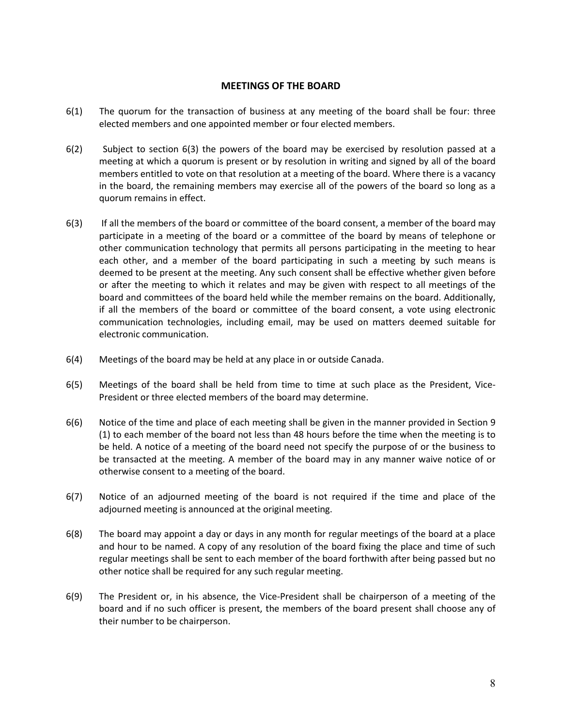## **MEETINGS OF THE BOARD**

- 6(1) The quorum for the transaction of business at any meeting of the board shall be four: three elected members and one appointed member or four elected members.
- 6(2) Subject to section 6(3) the powers of the board may be exercised by resolution passed at a meeting at which a quorum is present or by resolution in writing and signed by all of the board members entitled to vote on that resolution at a meeting of the board. Where there is a vacancy in the board, the remaining members may exercise all of the powers of the board so long as a quorum remains in effect.
- 6(3) If all the members of the board or committee of the board consent, a member of the board may participate in a meeting of the board or a committee of the board by means of telephone or other communication technology that permits all persons participating in the meeting to hear each other, and a member of the board participating in such a meeting by such means is deemed to be present at the meeting. Any such consent shall be effective whether given before or after the meeting to which it relates and may be given with respect to all meetings of the board and committees of the board held while the member remains on the board. Additionally, if all the members of the board or committee of the board consent, a vote using electronic communication technologies, including email, may be used on matters deemed suitable for electronic communication.
- 6(4) Meetings of the board may be held at any place in or outside Canada.
- 6(5) Meetings of the board shall be held from time to time at such place as the President, Vice-President or three elected members of the board may determine.
- 6(6) Notice of the time and place of each meeting shall be given in the manner provided in Section 9 (1) to each member of the board not less than 48 hours before the time when the meeting is to be held. A notice of a meeting of the board need not specify the purpose of or the business to be transacted at the meeting. A member of the board may in any manner waive notice of or otherwise consent to a meeting of the board.
- 6(7) Notice of an adjourned meeting of the board is not required if the time and place of the adjourned meeting is announced at the original meeting.
- 6(8) The board may appoint a day or days in any month for regular meetings of the board at a place and hour to be named. A copy of any resolution of the board fixing the place and time of such regular meetings shall be sent to each member of the board forthwith after being passed but no other notice shall be required for any such regular meeting.
- 6(9) The President or, in his absence, the Vice-President shall be chairperson of a meeting of the board and if no such officer is present, the members of the board present shall choose any of their number to be chairperson.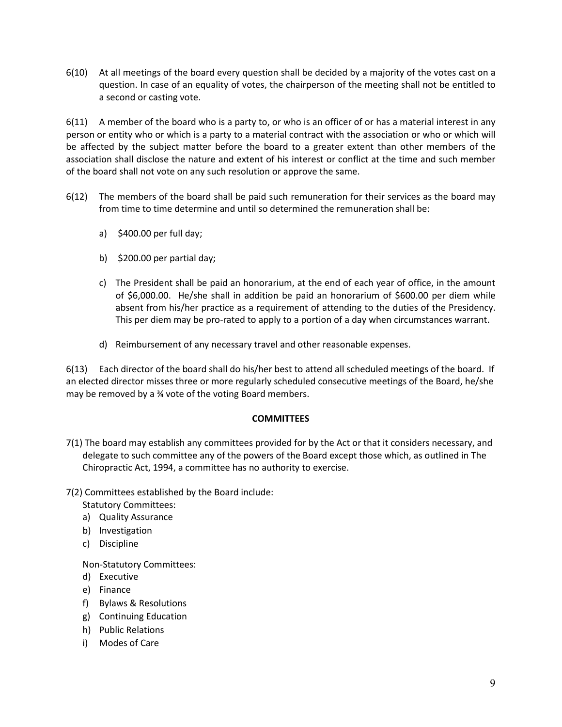6(10) At all meetings of the board every question shall be decided by a majority of the votes cast on a question. In case of an equality of votes, the chairperson of the meeting shall not be entitled to a second or casting vote.

6(11) A member of the board who is a party to, or who is an officer of or has a material interest in any person or entity who or which is a party to a material contract with the association or who or which will be affected by the subject matter before the board to a greater extent than other members of the association shall disclose the nature and extent of his interest or conflict at the time and such member of the board shall not vote on any such resolution or approve the same.

- 6(12) The members of the board shall be paid such remuneration for their services as the board may from time to time determine and until so determined the remuneration shall be:
	- a) \$400.00 per full day;
	- b)  $$200.00$  per partial day;
	- c) The President shall be paid an honorarium, at the end of each year of office, in the amount of \$6,000.00. He/she shall in addition be paid an honorarium of \$600.00 per diem while absent from his/her practice as a requirement of attending to the duties of the Presidency. This per diem may be pro-rated to apply to a portion of a day when circumstances warrant.
	- d) Reimbursement of any necessary travel and other reasonable expenses.

6(13) Each director of the board shall do his/her best to attend all scheduled meetings of the board. If an elected director misses three or more regularly scheduled consecutive meetings of the Board, he/she may be removed by a ¾ vote of the voting Board members.

## **COMMITTEES**

7(1) The board may establish any committees provided for by the Act or that it considers necessary, and delegate to such committee any of the powers of the Board except those which, as outlined in The Chiropractic Act, 1994, a committee has no authority to exercise.

7(2) Committees established by the Board include:

Statutory Committees:

- a) Quality Assurance
- b) Investigation
- c) Discipline

Non-Statutory Committees:

- d) Executive
- e) Finance
- f) Bylaws & Resolutions
- g) Continuing Education
- h) Public Relations
- i) Modes of Care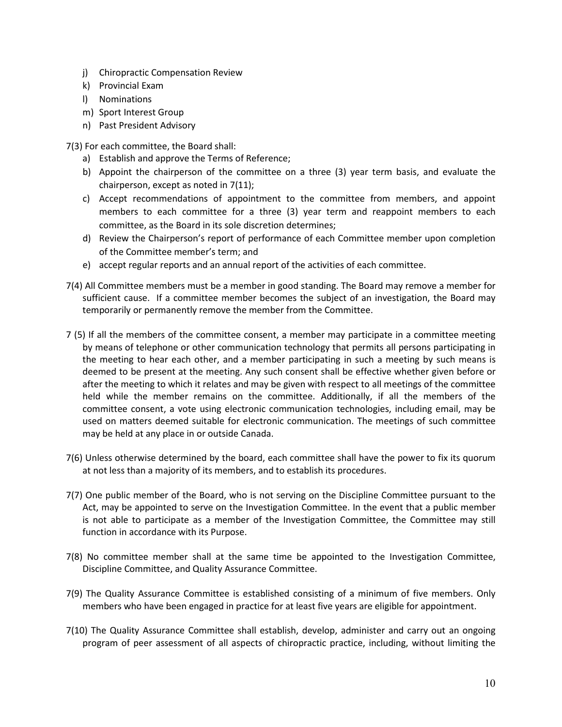- j) Chiropractic Compensation Review
- k) Provincial Exam
- l) Nominations
- m) Sport Interest Group
- n) Past President Advisory

7(3) For each committee, the Board shall:

- a) Establish and approve the Terms of Reference;
- b) Appoint the chairperson of the committee on a three (3) year term basis, and evaluate the chairperson, except as noted in 7(11);
- c) Accept recommendations of appointment to the committee from members, and appoint members to each committee for a three (3) year term and reappoint members to each committee, as the Board in its sole discretion determines;
- d) Review the Chairperson's report of performance of each Committee member upon completion of the Committee member's term; and
- e) accept regular reports and an annual report of the activities of each committee.
- 7(4) All Committee members must be a member in good standing. The Board may remove a member for sufficient cause. If a committee member becomes the subject of an investigation, the Board may temporarily or permanently remove the member from the Committee.
- 7 (5) If all the members of the committee consent, a member may participate in a committee meeting by means of telephone or other communication technology that permits all persons participating in the meeting to hear each other, and a member participating in such a meeting by such means is deemed to be present at the meeting. Any such consent shall be effective whether given before or after the meeting to which it relates and may be given with respect to all meetings of the committee held while the member remains on the committee. Additionally, if all the members of the committee consent, a vote using electronic communication technologies, including email, may be used on matters deemed suitable for electronic communication. The meetings of such committee may be held at any place in or outside Canada.
- 7(6) Unless otherwise determined by the board, each committee shall have the power to fix its quorum at not less than a majority of its members, and to establish its procedures.
- 7(7) One public member of the Board, who is not serving on the Discipline Committee pursuant to the Act, may be appointed to serve on the Investigation Committee. In the event that a public member is not able to participate as a member of the Investigation Committee, the Committee may still function in accordance with its Purpose.
- 7(8) No committee member shall at the same time be appointed to the Investigation Committee, Discipline Committee, and Quality Assurance Committee.
- 7(9) The Quality Assurance Committee is established consisting of a minimum of five members. Only members who have been engaged in practice for at least five years are eligible for appointment.
- 7(10) The Quality Assurance Committee shall establish, develop, administer and carry out an ongoing program of peer assessment of all aspects of chiropractic practice, including, without limiting the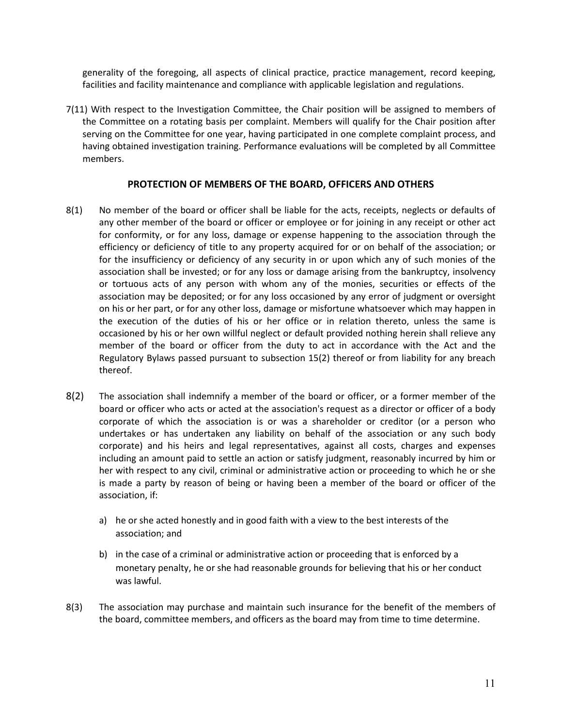generality of the foregoing, all aspects of clinical practice, practice management, record keeping, facilities and facility maintenance and compliance with applicable legislation and regulations.

7(11) With respect to the Investigation Committee, the Chair position will be assigned to members of the Committee on a rotating basis per complaint. Members will qualify for the Chair position after serving on the Committee for one year, having participated in one complete complaint process, and having obtained investigation training. Performance evaluations will be completed by all Committee members.

## **PROTECTION OF MEMBERS OF THE BOARD, OFFICERS AND OTHERS**

- 8(1) No member of the board or officer shall be liable for the acts, receipts, neglects or defaults of any other member of the board or officer or employee or for joining in any receipt or other act for conformity, or for any loss, damage or expense happening to the association through the efficiency or deficiency of title to any property acquired for or on behalf of the association; or for the insufficiency or deficiency of any security in or upon which any of such monies of the association shall be invested; or for any loss or damage arising from the bankruptcy, insolvency or tortuous acts of any person with whom any of the monies, securities or effects of the association may be deposited; or for any loss occasioned by any error of judgment or oversight on his or her part, or for any other loss, damage or misfortune whatsoever which may happen in the execution of the duties of his or her office or in relation thereto, unless the same is occasioned by his or her own willful neglect or default provided nothing herein shall relieve any member of the board or officer from the duty to act in accordance with the Act and the Regulatory Bylaws passed pursuant to subsection 15(2) thereof or from liability for any breach thereof.
- 8(2) The association shall indemnify a member of the board or officer, or a former member of the board or officer who acts or acted at the association's request as a director or officer of a body corporate of which the association is or was a shareholder or creditor (or a person who undertakes or has undertaken any liability on behalf of the association or any such body corporate) and his heirs and legal representatives, against all costs, charges and expenses including an amount paid to settle an action or satisfy judgment, reasonably incurred by him or her with respect to any civil, criminal or administrative action or proceeding to which he or she is made a party by reason of being or having been a member of the board or officer of the association, if:
	- a) he or she acted honestly and in good faith with a view to the best interests of the association; and
	- b) in the case of a criminal or administrative action or proceeding that is enforced by a monetary penalty, he or she had reasonable grounds for believing that his or her conduct was lawful.
- 8(3) The association may purchase and maintain such insurance for the benefit of the members of the board, committee members, and officers as the board may from time to time determine.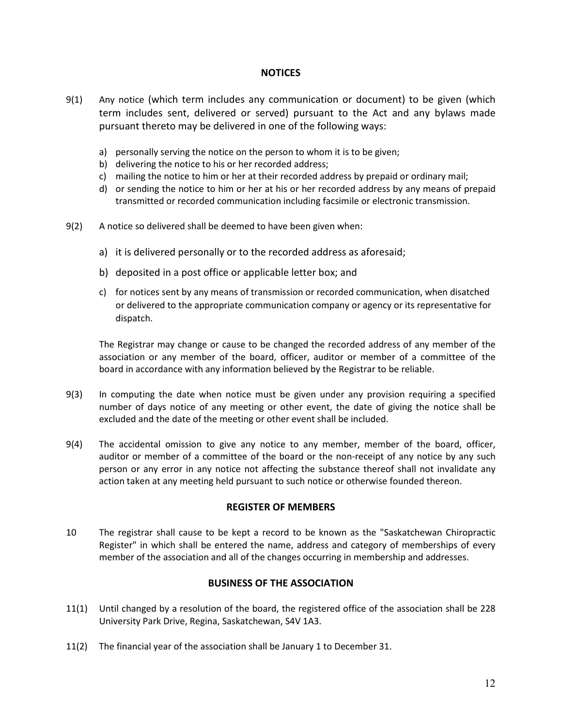## **NOTICES**

- 9(1) Any notice (which term includes any communication or document) to be given (which term includes sent, delivered or served) pursuant to the Act and any bylaws made pursuant thereto may be delivered in one of the following ways:
	- a) personally serving the notice on the person to whom it is to be given;
	- b) delivering the notice to his or her recorded address;
	- c) mailing the notice to him or her at their recorded address by prepaid or ordinary mail;
	- d) or sending the notice to him or her at his or her recorded address by any means of prepaid transmitted or recorded communication including facsimile or electronic transmission.
- 9(2) A notice so delivered shall be deemed to have been given when:
	- a) it is delivered personally or to the recorded address as aforesaid;
	- b) deposited in a post office or applicable letter box; and
	- c) for notices sent by any means of transmission or recorded communication, when disatched or delivered to the appropriate communication company or agency or its representative for dispatch.

The Registrar may change or cause to be changed the recorded address of any member of the association or any member of the board, officer, auditor or member of a committee of the board in accordance with any information believed by the Registrar to be reliable.

- 9(3) In computing the date when notice must be given under any provision requiring a specified number of days notice of any meeting or other event, the date of giving the notice shall be excluded and the date of the meeting or other event shall be included.
- 9(4) The accidental omission to give any notice to any member, member of the board, officer, auditor or member of a committee of the board or the non-receipt of any notice by any such person or any error in any notice not affecting the substance thereof shall not invalidate any action taken at any meeting held pursuant to such notice or otherwise founded thereon.

## **REGISTER OF MEMBERS**

10 The registrar shall cause to be kept a record to be known as the "Saskatchewan Chiropractic Register" in which shall be entered the name, address and category of memberships of every member of the association and all of the changes occurring in membership and addresses.

## **BUSINESS OF THE ASSOCIATION**

- 11(1) Until changed by a resolution of the board, the registered office of the association shall be 228 University Park Drive, Regina, Saskatchewan, S4V 1A3.
- 11(2) The financial year of the association shall be January 1 to December 31.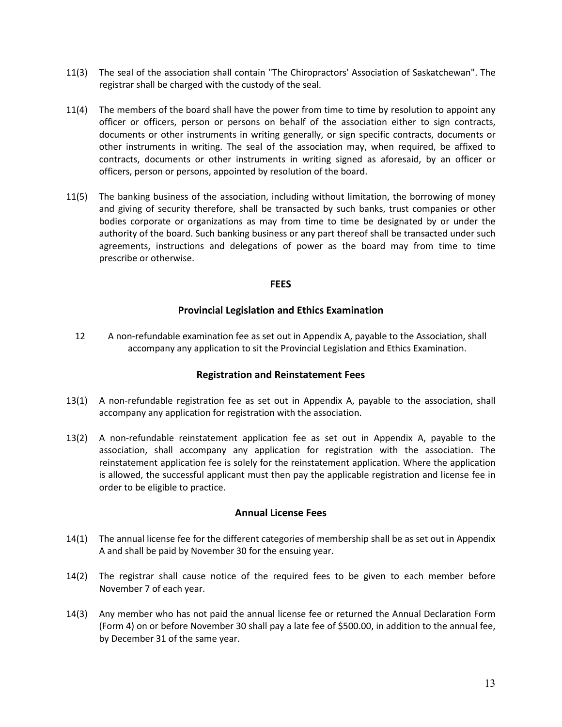- 11(3) The seal of the association shall contain "The Chiropractors' Association of Saskatchewan". The registrar shall be charged with the custody of the seal.
- 11(4) The members of the board shall have the power from time to time by resolution to appoint any officer or officers, person or persons on behalf of the association either to sign contracts, documents or other instruments in writing generally, or sign specific contracts, documents or other instruments in writing. The seal of the association may, when required, be affixed to contracts, documents or other instruments in writing signed as aforesaid, by an officer or officers, person or persons, appointed by resolution of the board.
- 11(5) The banking business of the association, including without limitation, the borrowing of money and giving of security therefore, shall be transacted by such banks, trust companies or other bodies corporate or organizations as may from time to time be designated by or under the authority of the board. Such banking business or any part thereof shall be transacted under such agreements, instructions and delegations of power as the board may from time to time prescribe or otherwise.

## **FEES**

## **Provincial Legislation and Ethics Examination**

12 A non-refundable examination fee as set out in Appendix A, payable to the Association, shall accompany any application to sit the Provincial Legislation and Ethics Examination.

## **Registration and Reinstatement Fees**

- 13(1) A non-refundable registration fee as set out in Appendix A, payable to the association, shall accompany any application for registration with the association.
- 13(2) A non-refundable reinstatement application fee as set out in Appendix A, payable to the association, shall accompany any application for registration with the association. The reinstatement application fee is solely for the reinstatement application. Where the application is allowed, the successful applicant must then pay the applicable registration and license fee in order to be eligible to practice.

## **Annual License Fees**

- 14(1) The annual license fee for the different categories of membership shall be as set out in Appendix A and shall be paid by November 30 for the ensuing year.
- 14(2) The registrar shall cause notice of the required fees to be given to each member before November 7 of each year.
- 14(3) Any member who has not paid the annual license fee or returned the Annual Declaration Form (Form 4) on or before November 30 shall pay a late fee of \$500.00, in addition to the annual fee, by December 31 of the same year.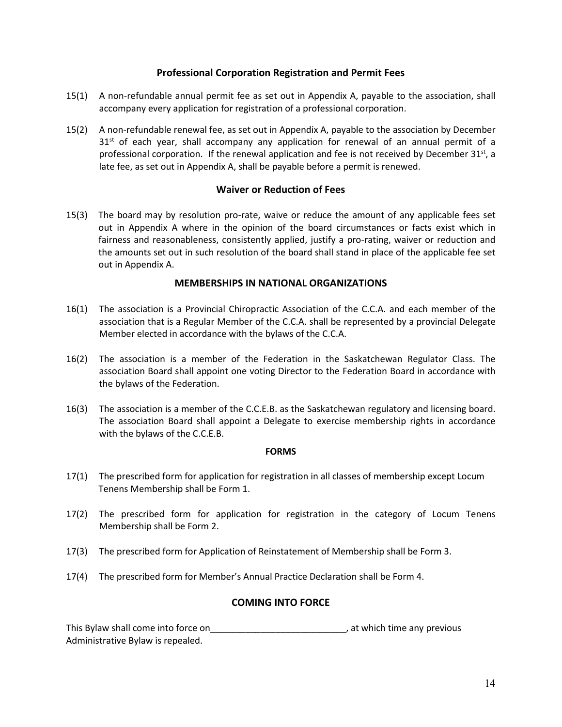## **Professional Corporation Registration and Permit Fees**

- 15(1) A non-refundable annual permit fee as set out in Appendix A, payable to the association, shall accompany every application for registration of a professional corporation.
- 15(2) A non-refundable renewal fee, as set out in Appendix A, payable to the association by December  $31<sup>st</sup>$  of each year, shall accompany any application for renewal of an annual permit of a professional corporation. If the renewal application and fee is not received by December 31st, a late fee, as set out in Appendix A, shall be payable before a permit is renewed.

## **Waiver or Reduction of Fees**

15(3) The board may by resolution pro-rate, waive or reduce the amount of any applicable fees set out in Appendix A where in the opinion of the board circumstances or facts exist which in fairness and reasonableness, consistently applied, justify a pro-rating, waiver or reduction and the amounts set out in such resolution of the board shall stand in place of the applicable fee set out in Appendix A.

## **MEMBERSHIPS IN NATIONAL ORGANIZATIONS**

- 16(1) The association is a Provincial Chiropractic Association of the C.C.A. and each member of the association that is a Regular Member of the C.C.A. shall be represented by a provincial Delegate Member elected in accordance with the bylaws of the C.C.A.
- 16(2) The association is a member of the Federation in the Saskatchewan Regulator Class. The association Board shall appoint one voting Director to the Federation Board in accordance with the bylaws of the Federation.
- 16(3) The association is a member of the C.C.E.B. as the Saskatchewan regulatory and licensing board. The association Board shall appoint a Delegate to exercise membership rights in accordance with the bylaws of the C.C.E.B.

## **FORMS**

- 17(1) The prescribed form for application for registration in all classes of membership except Locum Tenens Membership shall be Form 1.
- 17(2) The prescribed form for application for registration in the category of Locum Tenens Membership shall be Form 2.
- 17(3) The prescribed form for Application of Reinstatement of Membership shall be Form 3.
- 17(4) The prescribed form for Member's Annual Practice Declaration shall be Form 4.

## **COMING INTO FORCE**

This Bylaw shall come into force on\_\_\_\_\_\_\_\_\_\_\_\_\_\_\_\_\_\_\_\_\_\_\_\_\_\_\_\_\_\_\_\_\_\_, at which time any previous Administrative Bylaw is repealed.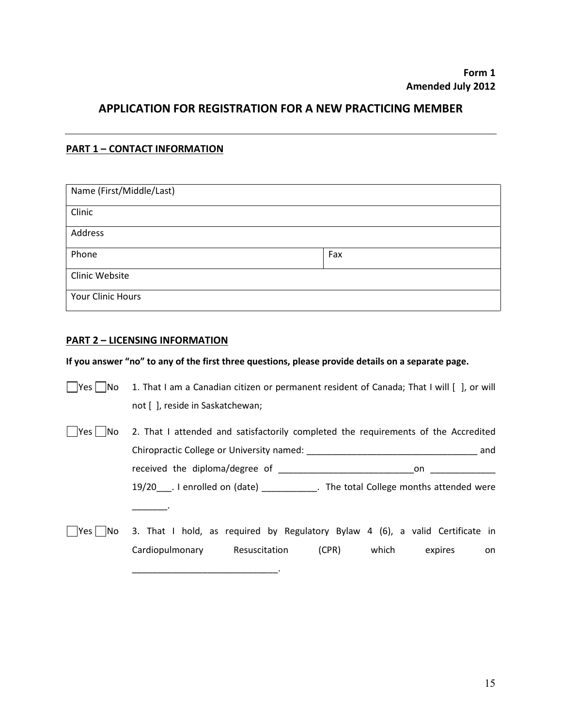## **APPLICATION FOR REGISTRATION FOR A NEW PRACTICING MEMBER**

## **PART 1 – CONTACT INFORMATION**

| Name (First/Middle/Last) |     |
|--------------------------|-----|
| Clinic                   |     |
| Address                  |     |
| Phone                    | Fax |
| Clinic Website           |     |
| <b>Your Clinic Hours</b> |     |

## **PART 2 – LICENSING INFORMATION**

## **If you answer "no" to any of the first three questions, please provide details on a separate page.**

| Yes  <br> No | 1. That I am a Canadian citizen or permanent resident of Canada; That I will [ ], or will |     |
|--------------|-------------------------------------------------------------------------------------------|-----|
|              | not [], reside in Saskatchewan;                                                           |     |
| Yes   No     | 2. That I attended and satisfactorily completed the requirements of the Accredited        |     |
|              |                                                                                           | and |
|              |                                                                                           | on  |
|              | 19/20 . I enrolled on (date) The total College months attended were                       |     |
| 'Yes   No    | 3. That I hold, as required by Regulatory Bylaw 4 (6), a valid Certificate in             |     |
|              | Cardiopulmonary Resuscitation (CPR) which expires                                         | on  |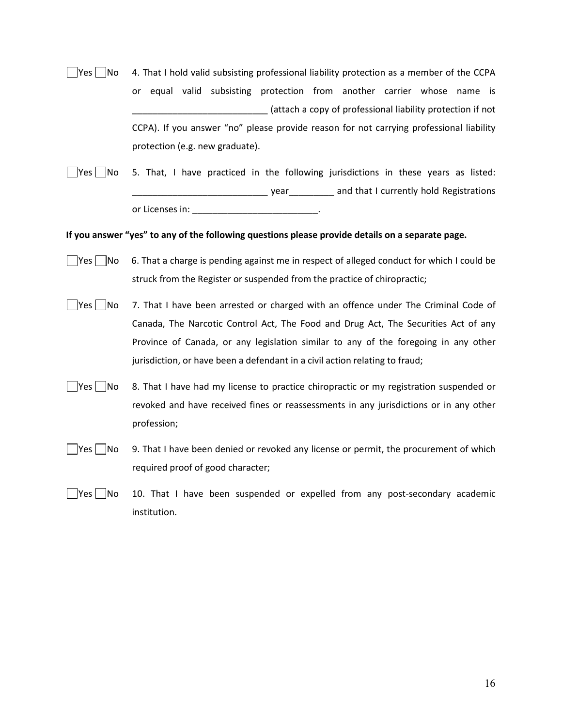| Yes   No    | 4. That I hold valid subsisting professional liability protection as a member of the CCPA        |
|-------------|--------------------------------------------------------------------------------------------------|
|             | or equal valid subsisting protection from another carrier whose name is                          |
|             | _____ (attach a copy of professional liability protection if not                                 |
|             | CCPA). If you answer "no" please provide reason for not carrying professional liability          |
|             | protection (e.g. new graduate).                                                                  |
| $ Yes $  No | 5. That, I have practiced in the following jurisdictions in these years as listed:               |
|             |                                                                                                  |
|             | or Licenses in: _______________________________.                                                 |
|             | If you answer "yes" to any of the following questions please provide details on a separate page. |
| $ Yes $  No | 6. That a charge is pending against me in respect of alleged conduct for which I could be        |
|             | struck from the Register or suspended from the practice of chiropractic;                         |
| $ Yes $  No | 7. That I have been arrested or charged with an offence under The Criminal Code of               |
|             | Canada, The Narcotic Control Act, The Food and Drug Act, The Securities Act of any               |
|             | Province of Canada, or any legislation similar to any of the foregoing in any other              |
|             | jurisdiction, or have been a defendant in a civil action relating to fraud;                      |
| $ Yes $  No | 8. That I have had my license to practice chiropractic or my registration suspended or           |
|             | revoked and have received fines or reassessments in any jurisdictions or in any other            |
|             | profession;                                                                                      |
|             | 9. That I have been denied or revoked any license or permit, the procurement of which            |
|             | required proof of good character;                                                                |
|             |                                                                                                  |
| $ Yes $  No | 10. That I have been suspended or expelled from any post-secondary academic                      |
|             | institution.                                                                                     |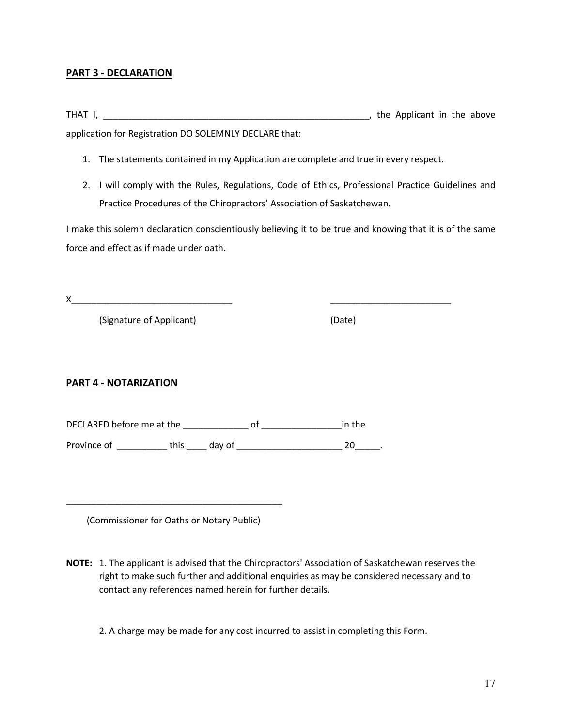## **PART 3 - DECLARATION**

THAT I, \_\_\_\_\_\_\_\_\_\_\_\_\_\_\_\_\_\_\_\_\_\_\_\_\_\_\_\_\_\_\_\_\_\_\_\_\_\_\_\_\_\_\_\_\_\_\_\_\_\_\_\_\_, the Applicant in the above application for Registration DO SOLEMNLY DECLARE that:

- 1. The statements contained in my Application are complete and true in every respect.
- 2. I will comply with the Rules, Regulations, Code of Ethics, Professional Practice Guidelines and Practice Procedures of the Chiropractors' Association of Saskatchewan.

I make this solemn declaration conscientiously believing it to be true and knowing that it is of the same force and effect as if made under oath.

X\_\_\_\_\_\_\_\_\_\_\_\_\_\_\_\_\_\_\_\_\_\_\_\_\_\_\_\_\_\_\_\_ \_\_\_\_\_\_\_\_\_\_\_\_\_\_\_\_\_\_\_\_\_\_\_\_

(Signature of Applicant) (Date)

## **PART 4 - NOTARIZATION**

DECLARED before me at the definition of the contract of the contract of the contract of the contract of the contract of the contract of the contract of the contract of the contract of the contract of the contract of the co Province of \_\_\_\_\_\_\_\_\_\_ this \_\_\_\_ day of \_\_\_\_\_\_\_\_\_\_\_\_\_\_\_\_\_\_\_\_\_ 20\_\_\_\_\_.

(Commissioner for Oaths or Notary Public)

\_\_\_\_\_\_\_\_\_\_\_\_\_\_\_\_\_\_\_\_\_\_\_\_\_\_\_\_\_\_\_\_\_\_\_\_\_\_\_\_\_\_\_

**NOTE:** 1. The applicant is advised that the Chiropractors' Association of Saskatchewan reserves the right to make such further and additional enquiries as may be considered necessary and to contact any references named herein for further details.

2. A charge may be made for any cost incurred to assist in completing this Form.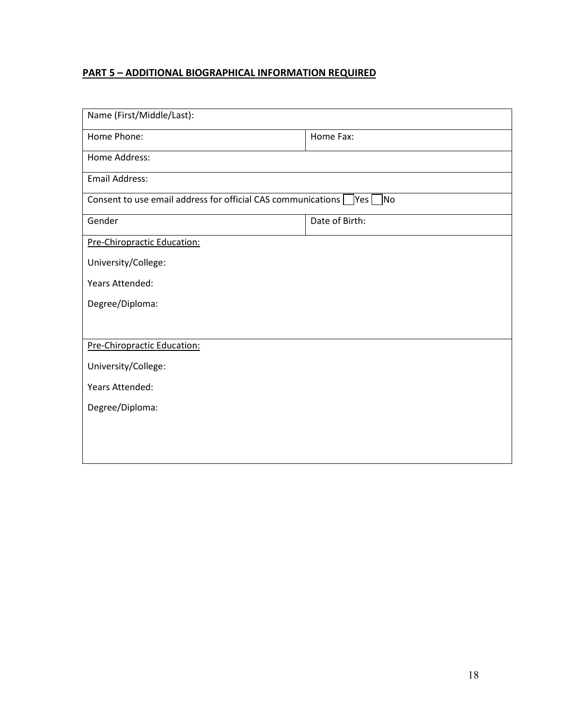## **PART 5 – ADDITIONAL BIOGRAPHICAL INFORMATION REQUIRED**

| Name (First/Middle/Last):                                                         |                |  |
|-----------------------------------------------------------------------------------|----------------|--|
| Home Phone:                                                                       | Home Fax:      |  |
| Home Address:                                                                     |                |  |
| Email Address:                                                                    |                |  |
| Consent to use email address for official CAS communications $\Box$ Yes $\Box$ No |                |  |
| Gender                                                                            | Date of Birth: |  |
| Pre-Chiropractic Education:                                                       |                |  |
| University/College:                                                               |                |  |
| Years Attended:                                                                   |                |  |
| Degree/Diploma:                                                                   |                |  |
|                                                                                   |                |  |
| Pre-Chiropractic Education:                                                       |                |  |
| University/College:                                                               |                |  |
| Years Attended:                                                                   |                |  |
| Degree/Diploma:                                                                   |                |  |
|                                                                                   |                |  |
|                                                                                   |                |  |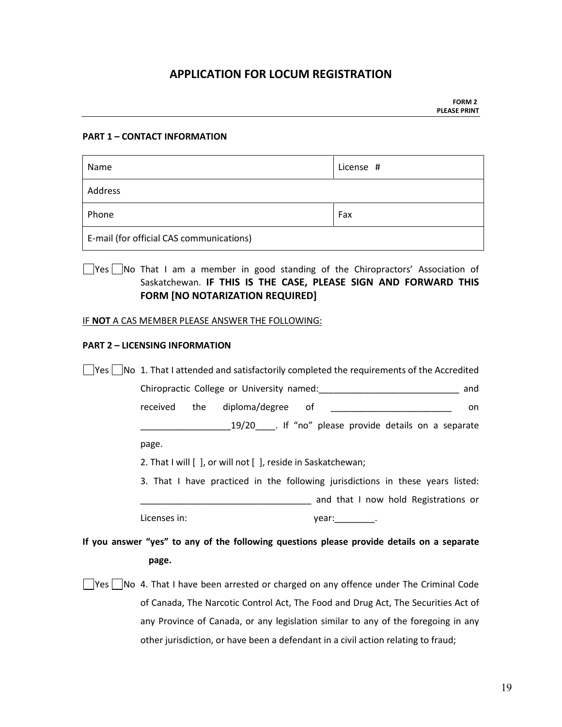## **APPLICATION FOR LOCUM REGISTRATION**

#### **PART 1 – CONTACT INFORMATION**

| Name                                     | License # |
|------------------------------------------|-----------|
| Address                                  |           |
| Phone                                    | Fax       |
| E-mail (for official CAS communications) |           |

Yes No That I am a member in good standing of the Chiropractors' Association of Saskatchewan. **IF THIS IS THE CASE, PLEASE SIGN AND FORWARD THIS FORM [NO NOTARIZATION REQUIRED]**

#### IF **NOT** A CAS MEMBER PLEASE ANSWER THE FOLLOWING:

#### **PART 2 – LICENSING INFORMATION**

| $\left  \text{Yes} \right $ $\left $ No 1. That I attended and satisfactorily completed the requirements of the Accredited |                                                                                                                |
|----------------------------------------------------------------------------------------------------------------------------|----------------------------------------------------------------------------------------------------------------|
|                                                                                                                            | and                                                                                                            |
| diploma/degree of<br>received<br>the                                                                                       | on                                                                                                             |
|                                                                                                                            | 19/20_____. If "no" please provide details on a separate                                                       |
| page.                                                                                                                      |                                                                                                                |
| 2. That I will [ ], or will not [ ], reside in Saskatchewan;                                                               |                                                                                                                |
| 3. That I have practiced in the following jurisdictions in these years listed:                                             |                                                                                                                |
|                                                                                                                            | and that I now hold Registrations or                                                                           |
| Licenses in:                                                                                                               | year: the second results are a second for the second second second in the second second second second second s |
| If you answer "yes" to any of the following questions please provide details on a separate                                 |                                                                                                                |
| page.                                                                                                                      |                                                                                                                |
| Yes  No 4. That I have been arrested or charged on any offence under The Criminal Code                                     |                                                                                                                |
|                                                                                                                            | of Canada, The Narcotic Control Act, The Food and Drug Act, The Securities Act of                              |
|                                                                                                                            |                                                                                                                |
| any Province of Canada, or any legislation similar to any of the foregoing in any                                          |                                                                                                                |
| other jurisdiction, or have been a defendant in a civil action relating to fraud;                                          |                                                                                                                |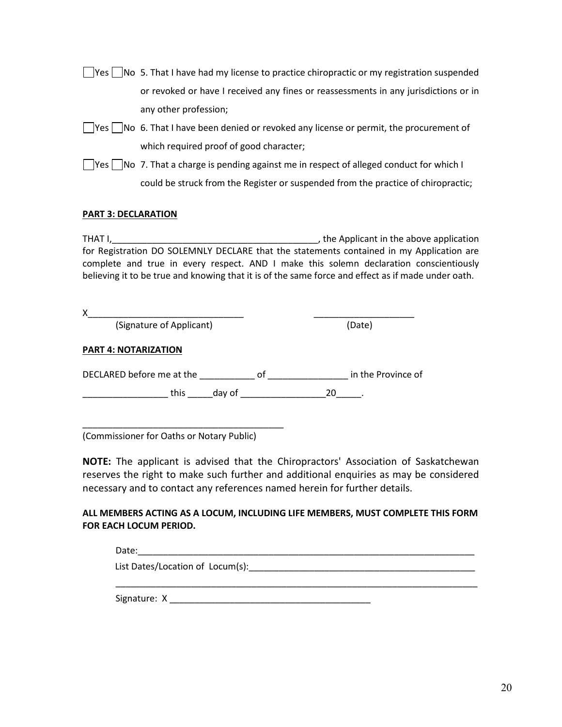| $\Box$ Yes $\Box$ No 5. That I have had my license to practice chiropractic or my registration suspended |
|----------------------------------------------------------------------------------------------------------|
| or revoked or have I received any fines or reassessments in any jurisdictions or in                      |
| any other profession;                                                                                    |

- $\Box$  Yes  $\Box$  No 6. That I have been denied or revoked any license or permit, the procurement of which required proof of good character;
- $\Box$  Yes  $\Box$  No 7. That a charge is pending against me in respect of alleged conduct for which I could be struck from the Register or suspended from the practice of chiropractic;

## **PART 3: DECLARATION**

THAT I,\_\_\_\_\_\_\_\_\_\_\_\_\_\_\_\_\_\_\_\_\_\_\_\_\_\_\_\_\_\_\_\_\_\_\_\_\_\_\_\_\_, the Applicant in the above application for Registration DO SOLEMNLY DECLARE that the statements contained in my Application are complete and true in every respect. AND I make this solemn declaration conscientiously believing it to be true and knowing that it is of the same force and effect as if made under oath.

| Χ                           |    |                    |
|-----------------------------|----|--------------------|
| (Signature of Applicant)    |    | (Date)             |
| <b>PART 4: NOTARIZATION</b> |    |                    |
| DECLARED before me at the   | 0f | in the Province of |
| this day of                 | 20 |                    |
|                             |    |                    |
|                             |    |                    |

(Commissioner for Oaths or Notary Public)

**NOTE:** The applicant is advised that the Chiropractors' Association of Saskatchewan reserves the right to make such further and additional enquiries as may be considered necessary and to contact any references named herein for further details.

## **ALL MEMBERS ACTING AS A LOCUM, INCLUDING LIFE MEMBERS, MUST COMPLETE THIS FORM FOR EACH LOCUM PERIOD.**

Date:\_\_\_\_\_\_\_\_\_\_\_\_\_\_\_\_\_\_\_\_\_\_\_\_\_\_\_\_\_\_\_\_\_\_\_\_\_\_\_\_\_\_\_\_\_\_\_\_\_\_\_\_\_\_\_\_\_\_\_\_\_\_\_\_\_\_\_ List Dates/Location of Locum(s): \_\_\_\_\_\_\_\_\_\_\_\_\_\_\_\_\_\_\_\_\_\_\_\_\_\_\_\_\_\_\_\_\_\_\_\_\_\_\_\_\_\_\_\_\_\_\_\_\_\_\_\_\_\_\_\_\_\_\_\_\_\_\_\_\_\_\_\_\_\_\_\_ Signature: X \_\_\_\_\_\_\_\_\_\_\_\_\_\_\_\_\_\_\_\_\_\_\_\_\_\_\_\_\_\_\_\_\_\_\_\_\_\_\_\_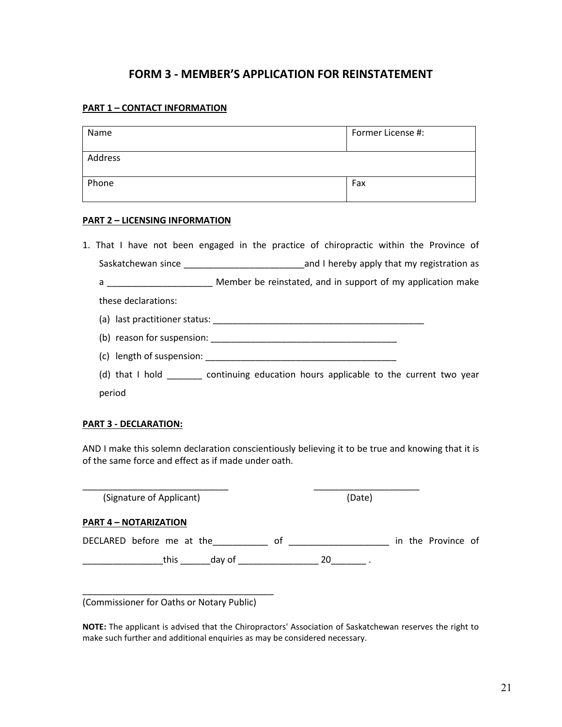## **FORM 3 - MEMBER'S APPLICATION FOR REINSTATEMENT**

## **PART 1 – CONTACT INFORMATION**

| Name    | Former License #: |
|---------|-------------------|
| Address |                   |
| Phone   | Fax               |

#### **PART 2 – LICENSING INFORMATION**

|                     | 1. That I have not been engaged in the practice of chiropractic within the Province of   |
|---------------------|------------------------------------------------------------------------------------------|
|                     |                                                                                          |
|                     |                                                                                          |
| these declarations: |                                                                                          |
|                     |                                                                                          |
|                     |                                                                                          |
|                     | (c) length of suspension: (c) length of suspension:                                      |
|                     | (d) that I hold __________ continuing education hours applicable to the current two year |
| period              |                                                                                          |

#### **PART 3 - DECLARATION:**

AND I make this solemn declaration conscientiously believing it to be true and knowing that it is of the same force and effect as if made under oath.

| (Signature of Applicant)     | (Date)                   |
|------------------------------|--------------------------|
| <b>PART 4 - NOTARIZATION</b> |                          |
| DECLARED before me at the    | in the Province of<br>οf |
| this<br>day of               | 20                       |

(Commissioner for Oaths or Notary Public)

\_\_\_\_\_\_\_\_\_\_\_\_\_\_\_\_\_\_\_\_\_\_\_\_\_\_\_\_\_\_\_\_\_\_\_\_\_\_

**NOTE:** The applicant is advised that the Chiropractors' Association of Saskatchewan reserves the right to make such further and additional enquiries as may be considered necessary.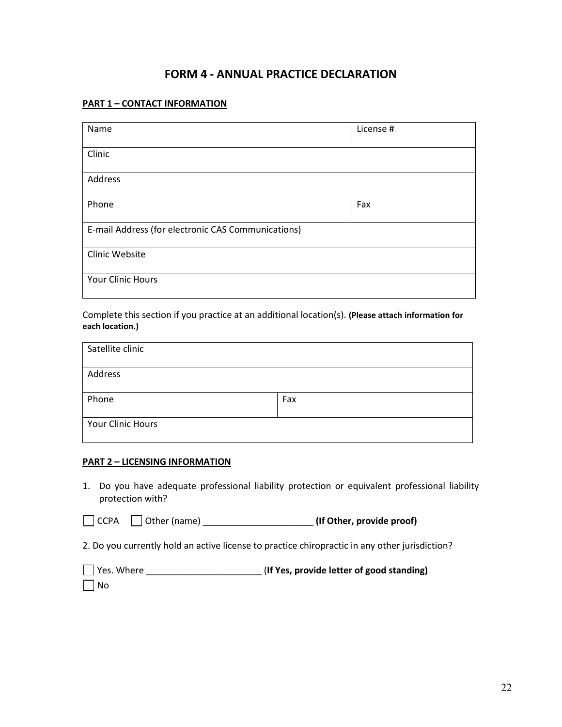## **FORM 4 - ANNUAL PRACTICE DECLARATION**

#### **PART 1 – CONTACT INFORMATION**

| Name                                               | License # |
|----------------------------------------------------|-----------|
| Clinic                                             |           |
| Address                                            |           |
| Phone                                              | Fax       |
| E-mail Address (for electronic CAS Communications) |           |
| Clinic Website                                     |           |
| Your Clinic Hours                                  |           |

## Complete this section if you practice at an additional location(s). **(Please attach information for each location.)**

| Satellite clinic  |     |
|-------------------|-----|
| Address           |     |
| Phone             | Fax |
| Your Clinic Hours |     |

## **PART 2 – LICENSING INFORMATION**

1. Do you have adequate professional liability protection or equivalent professional liability protection with?

CCPA Other (name) \_\_\_\_\_\_\_\_\_\_\_\_\_\_\_\_\_\_\_\_\_\_ **(If Other, provide proof)**

2. Do you currently hold an active license to practice chiropractic in any other jurisdiction?

| Yes. Where | (If Yes, provide letter of good standing) |
|------------|-------------------------------------------|
| $\Box$ No  |                                           |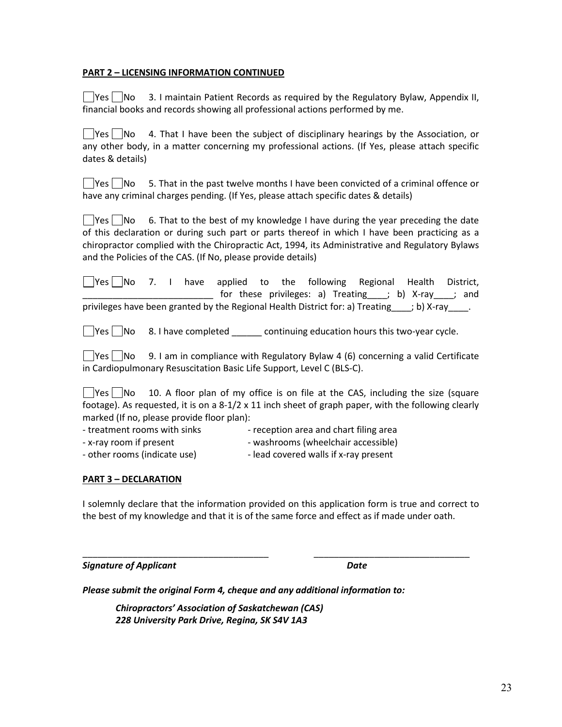## **PART 2 – LICENSING INFORMATION CONTINUED**

 $\vert$  Yes  $\vert$   $\vert$ No 3. I maintain Patient Records as required by the Regulatory Bylaw, Appendix II, financial books and records showing all professional actions performed by me.

 $\Box$ Yes  $\Box$ No 4. That I have been the subject of disciplinary hearings by the Association, or any other body, in a matter concerning my professional actions. (If Yes, please attach specific dates & details)

 $\sqrt{\frac{y_{\text{es}}^2}{N}}$  No 5. That in the past twelve months I have been convicted of a criminal offence or have any criminal charges pending. (If Yes, please attach specific dates & details)

 $\Box$  Yes  $\Box$  No 6. That to the best of my knowledge I have during the year preceding the date of this declaration or during such part or parts thereof in which I have been practicing as a chiropractor complied with the Chiropractic Act, 1994, its Administrative and Regulatory Bylaws and the Policies of the CAS. (If No, please provide details)

 $\Box$ Yes $\Box$ No 7. I have applied to the following Regional Health District, for these privileges: a) Treating (b) X-ray in and privileges have been granted by the Regional Health District for: a) Treating ; b) X-ray [15].

 $\Box$  Yes  $\Box$  No 8. I have completed continuing education hours this two-year cycle.

 $\vert$  Yes  $\vert$   $\vert$ No 9. I am in compliance with Regulatory Bylaw 4 (6) concerning a valid Certificate in Cardiopulmonary Resuscitation Basic Life Support, Level C (BLS-C).

 $\Box$  Yes  $\Box$  No 10. A floor plan of my office is on file at the CAS, including the size (square footage). As requested, it is on a 8-1/2 x 11 inch sheet of graph paper, with the following clearly marked (If no, please provide floor plan):

- 
- treatment rooms with sinks reception area and chart filing area
- -
- x-ray room if present washrooms (wheelchair accessible)
- other rooms (indicate use) lead covered walls if x-ray present

## **PART 3 – DECLARATION**

I solemnly declare that the information provided on this application form is true and correct to the best of my knowledge and that it is of the same force and effect as if made under oath.

\_\_\_\_\_\_\_\_\_\_\_\_\_\_\_\_\_\_\_\_\_\_\_\_\_\_\_\_\_\_\_\_\_\_\_\_\_ \_\_\_\_\_\_\_\_\_\_\_\_\_\_\_\_\_\_\_\_\_\_\_\_\_\_\_\_\_\_\_

**Signature of Applicant** Date **Date Date** 

*Please submit the original Form 4, cheque and any additional information to:*

*Chiropractors' Association of Saskatchewan (CAS) 228 University Park Drive, Regina, SK S4V 1A3*